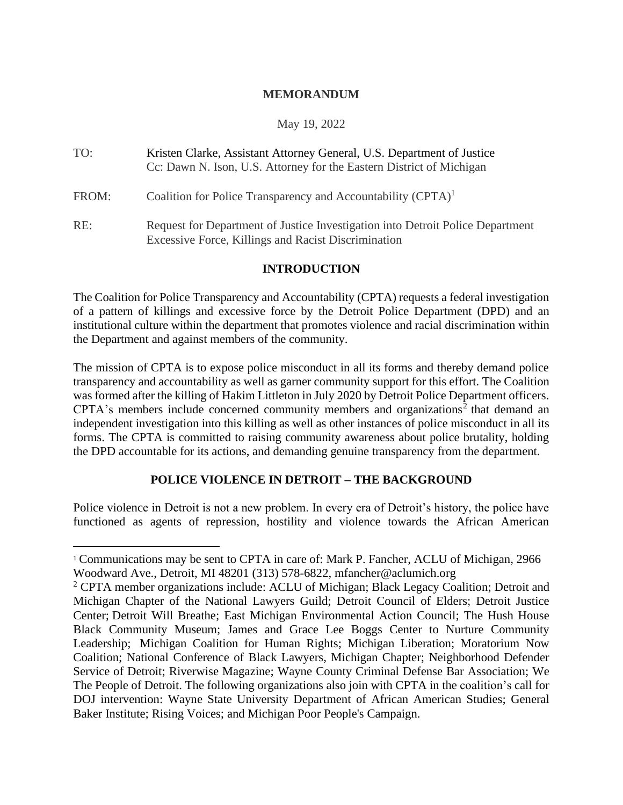#### **MEMORANDUM**

#### May 19, 2022

| TO:   | Kristen Clarke, Assistant Attorney General, U.S. Department of Justice<br>Cc: Dawn N. Ison, U.S. Attorney for the Eastern District of Michigan |
|-------|------------------------------------------------------------------------------------------------------------------------------------------------|
| FROM: | Coalition for Police Transparency and Accountability (CPTA) <sup>1</sup>                                                                       |
| RE:   | Request for Department of Justice Investigation into Detroit Police Department<br>Excessive Force, Killings and Racist Discrimination          |

#### **INTRODUCTION**

The Coalition for Police Transparency and Accountability (CPTA) requests a federal investigation of a pattern of killings and excessive force by the Detroit Police Department (DPD) and an institutional culture within the department that promotes violence and racial discrimination within the Department and against members of the community.

The mission of CPTA is to expose police misconduct in all its forms and thereby demand police transparency and accountability as well as garner community support for this effort. The Coalition was formed after the killing of Hakim Littleton in July 2020 by Detroit Police Department officers. CPTA's members include concerned community members and organizations<sup>2</sup> that demand an independent investigation into this killing as well as other instances of police misconduct in all its forms. The CPTA is committed to raising community awareness about police brutality, holding the DPD accountable for its actions, and demanding genuine transparency from the department.

## **POLICE VIOLENCE IN DETROIT – THE BACKGROUND**

Police violence in Detroit is not a new problem. In every era of Detroit's history, the police have functioned as agents of repression, hostility and violence towards the African American

<sup>1</sup> Communications may be sent to CPTA in care of: Mark P. Fancher, ACLU of Michigan, 2966 Woodward Ave., Detroit, MI 48201 (313) 578-6822, mfancher@aclumich.org

<sup>&</sup>lt;sup>2</sup> CPTA member organizations include: ACLU of Michigan; Black Legacy Coalition; Detroit and Michigan Chapter of the National Lawyers Guild; Detroit Council of Elders; Detroit Justice Center; Detroit Will Breathe; East Michigan Environmental Action Council; The Hush House Black Community Museum; James and Grace Lee Boggs Center to Nurture Community Leadership; Michigan Coalition for Human Rights; Michigan Liberation; Moratorium Now Coalition; National Conference of Black Lawyers, Michigan Chapter; Neighborhood Defender Service of Detroit; Riverwise Magazine; Wayne County Criminal Defense Bar Association; We The People of Detroit. The following organizations also join with CPTA in the coalition's call for DOJ intervention: Wayne State University Department of African American Studies; General Baker Institute; Rising Voices; and Michigan Poor People's Campaign.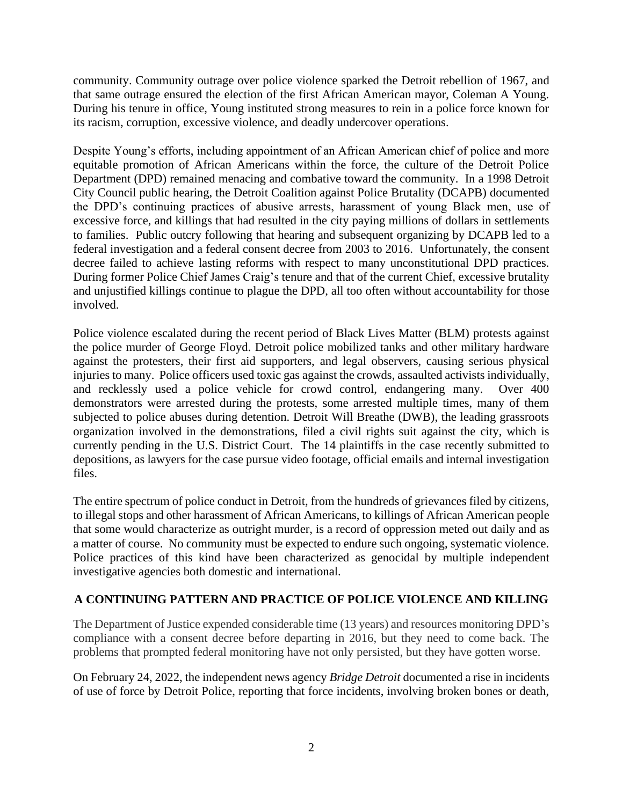community. Community outrage over police violence sparked the Detroit rebellion of 1967, and that same outrage ensured the election of the first African American mayor, Coleman A Young. During his tenure in office, Young instituted strong measures to rein in a police force known for its racism, corruption, excessive violence, and deadly undercover operations.

Despite Young's efforts, including appointment of an African American chief of police and more equitable promotion of African Americans within the force, the culture of the Detroit Police Department (DPD) remained menacing and combative toward the community. In a 1998 Detroit City Council public hearing, the Detroit Coalition against Police Brutality (DCAPB) documented the DPD's continuing practices of abusive arrests, harassment of young Black men, use of excessive force, and killings that had resulted in the city paying millions of dollars in settlements to families. Public outcry following that hearing and subsequent organizing by DCAPB led to a federal investigation and a federal consent decree from 2003 to 2016. Unfortunately, the consent decree failed to achieve lasting reforms with respect to many unconstitutional DPD practices. During former Police Chief James Craig's tenure and that of the current Chief, excessive brutality and unjustified killings continue to plague the DPD, all too often without accountability for those involved.

Police violence escalated during the recent period of Black Lives Matter (BLM) protests against the police murder of George Floyd. Detroit police mobilized tanks and other military hardware against the protesters, their first aid supporters, and legal observers, causing serious physical injuries to many. Police officers used toxic gas against the crowds, assaulted activists individually, and recklessly used a police vehicle for crowd control, endangering many. Over 400 demonstrators were arrested during the protests, some arrested multiple times, many of them subjected to police abuses during detention. Detroit Will Breathe (DWB), the leading grassroots organization involved in the demonstrations, filed a civil rights suit against the city, which is currently pending in the U.S. District Court. The 14 plaintiffs in the case recently submitted to depositions, as lawyers for the case pursue video footage, official emails and internal investigation files.

The entire spectrum of police conduct in Detroit, from the hundreds of grievances filed by citizens, to illegal stops and other harassment of African Americans, to killings of African American people that some would characterize as outright murder, is a record of oppression meted out daily and as a matter of course. No community must be expected to endure such ongoing, systematic violence. Police practices of this kind have been characterized as genocidal by multiple independent investigative agencies both domestic and international.

## **A CONTINUING PATTERN AND PRACTICE OF POLICE VIOLENCE AND KILLING**

The Department of Justice expended considerable time (13 years) and resources monitoring DPD's compliance with a consent decree before departing in 2016, but they need to come back. The problems that prompted federal monitoring have not only persisted, but they have gotten worse.

On February 24, 2022, the independent news agency *Bridge Detroit* documented a rise in incidents of use of force by Detroit Police, reporting that force incidents, involving broken bones or death,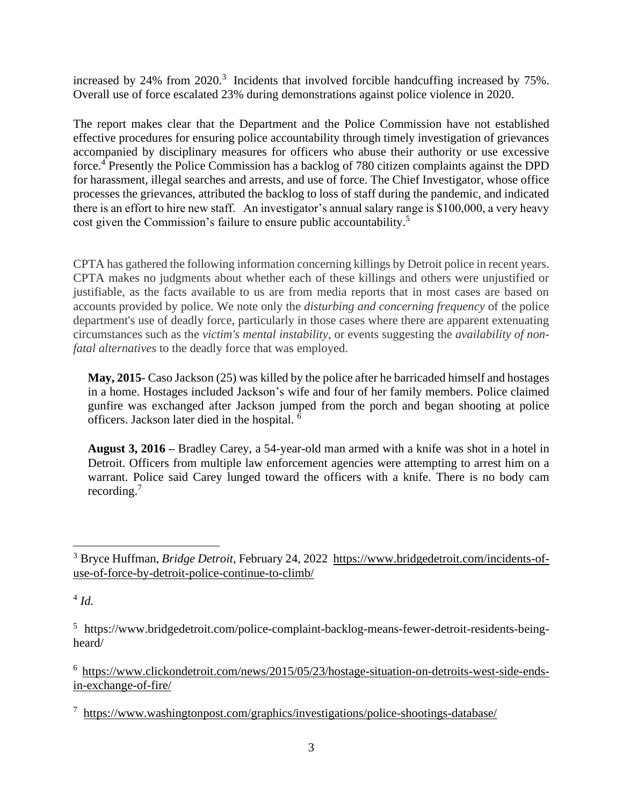increased by  $24\%$  from  $2020$ .<sup>3</sup> Incidents that involved forcible handcuffing increased by 75%. Overall use of force escalated 23% during demonstrations against police violence in 2020.

The report makes clear that the Department and the Police Commission have not established effective procedures for ensuring police accountability through timely investigation of grievances accompanied by disciplinary measures for officers who abuse their authority or use excessive force. <sup>4</sup> Presently the Police Commission has a backlog of 780 citizen complaints against the DPD for harassment, illegal searches and arrests, and use of force. The Chief Investigator, whose office processes the grievances, attributed the backlog to loss of staff during the pandemic, and indicated there is an effort to hire new staff. An investigator's annual salary range is \$100,000, a very heavy cost given the Commission's failure to ensure public accountability.<sup>5</sup>

CPTA has gathered the following information concerning killings by Detroit police in recent years. CPTA makes no judgments about whether each of these killings and others were unjustified or justifiable, as the facts available to us are from media reports that in most cases are based on accounts provided by police. We note only the *disturbing and concerning frequency* of the police department's use of deadly force, particularly in those cases where there are apparent extenuating circumstances such as the *victim's mental instability*, or events suggesting the *availability of nonfatal alternatives* to the deadly force that was employed.

**May, 2015**- Caso Jackson (25) was killed by the police after he barricaded himself and hostages in a home. Hostages included Jackson's wife and four of her family members. Police claimed gunfire was exchanged after Jackson jumped from the porch and began shooting at police officers. Jackson later died in the hospital. <sup>6</sup>

**August 3, 2016 –** Bradley Carey, a 54-year-old man armed with a knife was shot in a hotel in Detroit. Officers from multiple law enforcement agencies were attempting to arrest him on a warrant. Police said Carey lunged toward the officers with a knife. There is no body cam recording.<sup>7</sup>

4 *Id.*

7 <https://www.washingtonpost.com/graphics/investigations/police-shootings-database/>

<sup>3</sup> Bryce Huffman, *Bridge Detroit*, February 24, 2022 [https://www.bridgedetroit.com/incidents-of](https://www.bridgedetroit.com/incidents-of-use-of-force-by-detroit-police-continue-to-climb/)[use-of-force-by-detroit-police-continue-to-climb/](https://www.bridgedetroit.com/incidents-of-use-of-force-by-detroit-police-continue-to-climb/)

<sup>&</sup>lt;sup>5</sup> https://www.bridgedetroit.com/police-complaint-backlog-means-fewer-detroit-residents-beingheard/

<sup>&</sup>lt;sup>6</sup> [https://www.clickondetroit.com/news/2015/05/23/hostage-situation-on-detroits-west-side-ends](https://www.clickondetroit.com/news/2015/05/23/hostage-situation-on-detroits-west-side-ends-%20in-exchange-of-fire/)[in-exchange-of-fire/](https://www.clickondetroit.com/news/2015/05/23/hostage-situation-on-detroits-west-side-ends-%20in-exchange-of-fire/)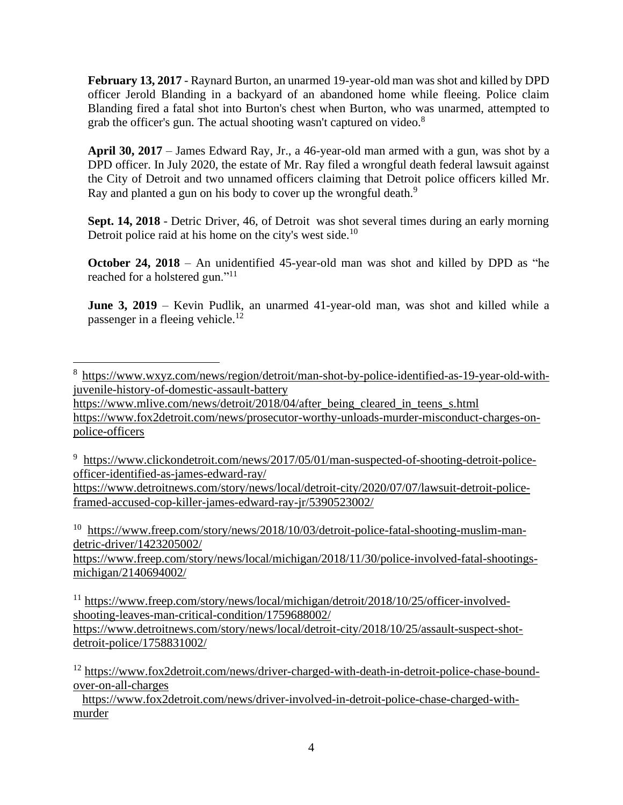**February 13, 2017** - Raynard Burton, an unarmed 19-year-old man was shot and killed by DPD officer Jerold Blanding in a backyard of an abandoned home while fleeing. Police claim Blanding fired a fatal shot into Burton's chest when Burton, who was unarmed, attempted to grab the officer's gun. The actual shooting wasn't captured on video.<sup>8</sup>

**April 30, 2017** – James Edward Ray, Jr., a 46-year-old man armed with a gun, was shot by a DPD officer. In July 2020, the estate of Mr. Ray filed a wrongful death federal lawsuit against the City of Detroit and two unnamed officers claiming that Detroit police officers killed Mr. Ray and planted a gun on his body to cover up the wrongful death.<sup>9</sup>

**Sept. 14, 2018** - Detric Driver, 46, of Detroit was shot several times during an early morning Detroit police raid at his home on the city's west side.<sup>10</sup>

**October 24, 2018** – An unidentified 45-year-old man was shot and killed by DPD as "he reached for a holstered gun."<sup>11</sup>

**June 3, 2019** – Kevin Pudlik, an unarmed 41-year-old man, was shot and killed while a passenger in a fleeing vehicle.<sup>12</sup>

[https://www.mlive.com/news/detroit/2018/04/after\\_being\\_cleared\\_in\\_teens\\_s.html](https://www.mlive.com/news/detroit/2018/04/after_being_cleared_in_teens_s.html) [https://www.fox2detroit.com/news/prosecutor-worthy-unloads-murder-misconduct-charges-on](https://www.fox2detroit.com/news/prosecutor-worthy-unloads-murder-misconduct-charges-on-police-officers)[police-officers](https://www.fox2detroit.com/news/prosecutor-worthy-unloads-murder-misconduct-charges-on-police-officers)

<sup>9</sup> [https://www.clickondetroit.com/news/2017/05/01/man-suspected-of-shooting-detroit-police](https://www.clickondetroit.com/news/2017/05/01/man-suspected-of-shooting-detroit-police-officer-identified-as-james-edward-ray/)[officer-identified-as-james-edward-ray/](https://www.clickondetroit.com/news/2017/05/01/man-suspected-of-shooting-detroit-police-officer-identified-as-james-edward-ray/)

[https://www.detroitnews.com/story/news/local/detroit-city/2020/07/07/lawsuit-detroit-police](https://www.detroitnews.com/story/news/local/detroit-city/2020/07/07/lawsuit-detroit-police-framed-accused-cop-killer-james-edward-ray-jr/5390523002/)[framed-accused-cop-killer-james-edward-ray-jr/5390523002/](https://www.detroitnews.com/story/news/local/detroit-city/2020/07/07/lawsuit-detroit-police-framed-accused-cop-killer-james-edward-ray-jr/5390523002/)

<sup>10</sup> [https://www.freep.com/story/news/2018/10/03/detroit-police-fatal-shooting-muslim-man](https://www.freep.com/story/news/2018/10/03/detroit-police-fatal-shooting-muslim-man-detric-driver/1423205002/)[detric-driver/1423205002/](https://www.freep.com/story/news/2018/10/03/detroit-police-fatal-shooting-muslim-man-detric-driver/1423205002/)

[https://www.freep.com/story/news/local/michigan/2018/11/30/police-involved-fatal-shootings](https://www.freep.com/story/news/local/michigan/2018/11/30/police-involved-fatal-shootings-michigan/2140694002/)[michigan/2140694002/](https://www.freep.com/story/news/local/michigan/2018/11/30/police-involved-fatal-shootings-michigan/2140694002/)

<sup>11</sup> [https://www.freep.com/story/news/local/michigan/detroit/2018/10/25/officer-involved](https://www.freep.com/story/news/local/michigan/detroit/2018/10/25/officer-involved-shooting-leaves-man-critical-condition/1759688002/)[shooting-leaves-man-critical-condition/1759688002/](https://www.freep.com/story/news/local/michigan/detroit/2018/10/25/officer-involved-shooting-leaves-man-critical-condition/1759688002/) [https://www.detroitnews.com/story/news/local/detroit-city/2018/10/25/assault-suspect-shot](https://www.detroitnews.com/story/news/local/detroit-city/2018/10/25/assault-suspect-shot-detroit-police/1758831002/)[detroit-police/1758831002/](https://www.detroitnews.com/story/news/local/detroit-city/2018/10/25/assault-suspect-shot-detroit-police/1758831002/)

<sup>12</sup> [https://www.fox2detroit.com/news/driver-charged-with-death-in-detroit-police-chase-bound](https://www.fox2detroit.com/news/driver-charged-with-death-in-detroit-police-chase-bound-over-on-all-charges)[over-on-all-charges](https://www.fox2detroit.com/news/driver-charged-with-death-in-detroit-police-chase-bound-over-on-all-charges)

 [https://www.fox2detroit.com/news/driver-involved-in-detroit-police-chase-charged-with](https://www.fox2detroit.com/news/driver-involved-in-detroit-police-chase-charged-with-murder)[murder](https://www.fox2detroit.com/news/driver-involved-in-detroit-police-chase-charged-with-murder)

<sup>&</sup>lt;sup>8</sup> [https://www.wxyz.com/news/region/detroit/man-shot-by-police-identified-as-19-year-old-with](https://www.wxyz.com/news/region/detroit/man-shot-by-police-identified-as-19-year-old-with-juvenile-history-of-domestic-assault-battery)[juvenile-history-of-domestic-assault-battery](https://www.wxyz.com/news/region/detroit/man-shot-by-police-identified-as-19-year-old-with-juvenile-history-of-domestic-assault-battery)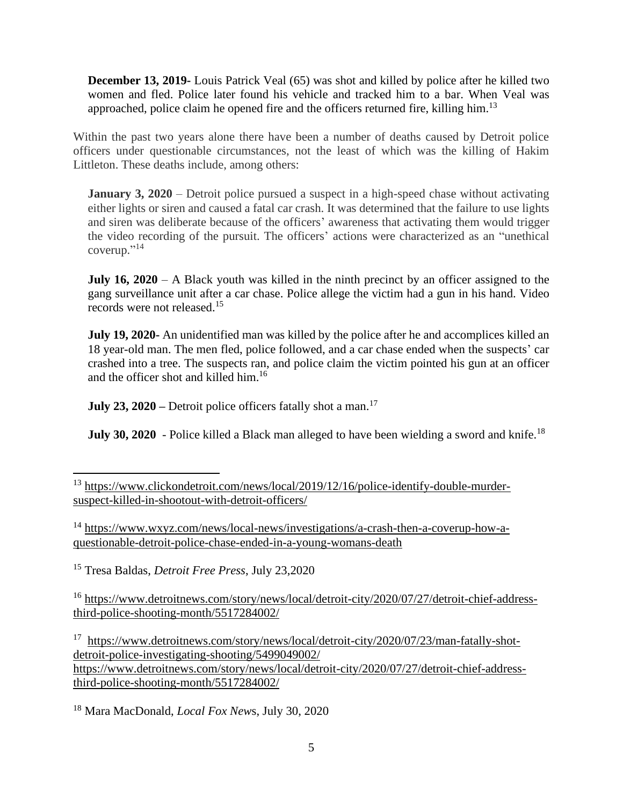**December 13, 2019-** Louis Patrick Veal (65) was shot and killed by police after he killed two women and fled. Police later found his vehicle and tracked him to a bar. When Veal was approached, police claim he opened fire and the officers returned fire, killing him.<sup>13</sup>

Within the past two years alone there have been a number of deaths caused by Detroit police officers under questionable circumstances, not the least of which was the killing of Hakim Littleton. These deaths include, among others:

**January 3, 2020** – Detroit police pursued a suspect in a high-speed chase without activating either lights or siren and caused a fatal car crash. It was determined that the failure to use lights and siren was deliberate because of the officers' awareness that activating them would trigger the video recording of the pursuit. The officers' actions were characterized as an "unethical coverup."<sup>14</sup>

**July 16, 2020** – A Black youth was killed in the ninth precinct by an officer assigned to the gang surveillance unit after a car chase. Police allege the victim had a gun in his hand. Video records were not released.<sup>15</sup>

**July 19, 2020-** An unidentified man was killed by the police after he and accomplices killed an 18 year-old man. The men fled, police followed, and a car chase ended when the suspects' car crashed into a tree. The suspects ran, and police claim the victim pointed his gun at an officer and the officer shot and killed him.<sup>16</sup>

**July 23, 2020** – Detroit police officers fatally shot a man.<sup>17</sup>

**July 30, 2020** - Police killed a Black man alleged to have been wielding a sword and knife.<sup>18</sup>

<sup>17</sup> [https://www.detroitnews.com/story/news/local/detroit-city/2020/07/23/man-fatally-shot](https://www.detroitnews.com/story/news/local/detroit-city/2020/07/23/man-fatally-shot-detroit-police-investigating-shooting/5499049002/)[detroit-police-investigating-shooting/5499049002/](https://www.detroitnews.com/story/news/local/detroit-city/2020/07/23/man-fatally-shot-detroit-police-investigating-shooting/5499049002/) [https://www.detroitnews.com/story/news/local/detroit-city/2020/07/27/detroit-chief-address](https://www.detroitnews.com/story/news/local/detroit-city/2020/07/27/detroit-chief-address-third-police-shooting-month/5517284002/)[third-police-shooting-month/5517284002/](https://www.detroitnews.com/story/news/local/detroit-city/2020/07/27/detroit-chief-address-third-police-shooting-month/5517284002/)

<sup>18</sup> Mara MacDonald, *Local Fox New*s, July 30, 2020

<sup>13</sup> [https://www.clickondetroit.com/news/local/2019/12/16/police-identify-double-murder](https://urldefense.proofpoint.com/v2/url?u=https-3A__www.clickondetroit.com_news_local_2019_12_16_police-2Didentify-2Ddouble-2Dmurder-2Dsuspect-2Dkilled-2Din-2Dshootout-2Dwith-2Ddetroit-2Dofficers_&d=DwMFaQ&c=euGZstcaTDllvimEN8b7jXrwqOf-v5A_CdpgnVfiiMM&r=UEAeuxn4vQheXLGANgoKO3OGw1kWeEvDFTp7pQkgJsY&m=fLFiRMuZyYcLON34aqO86wmYBKB5WvOiBlKvDPWHa7Y&s=DVshpjtedj0udRVcUrcXwbsRgwas0L3IjuKsMUXD5GY&e=)[suspect-killed-in-shootout-with-detroit-officers/](https://urldefense.proofpoint.com/v2/url?u=https-3A__www.clickondetroit.com_news_local_2019_12_16_police-2Didentify-2Ddouble-2Dmurder-2Dsuspect-2Dkilled-2Din-2Dshootout-2Dwith-2Ddetroit-2Dofficers_&d=DwMFaQ&c=euGZstcaTDllvimEN8b7jXrwqOf-v5A_CdpgnVfiiMM&r=UEAeuxn4vQheXLGANgoKO3OGw1kWeEvDFTp7pQkgJsY&m=fLFiRMuZyYcLON34aqO86wmYBKB5WvOiBlKvDPWHa7Y&s=DVshpjtedj0udRVcUrcXwbsRgwas0L3IjuKsMUXD5GY&e=)

<sup>14</sup> [https://www.wxyz.com/news/local-news/investigations/a-crash-then-a-coverup-how-a](https://www.wxyz.com/news/local-news/investigations/a-crash-then-a-coverup-how-a-questionable-detroit-police-chase-ended-in-a-young-womans-death)[questionable-detroit-police-chase-ended-in-a-young-womans-death](https://www.wxyz.com/news/local-news/investigations/a-crash-then-a-coverup-how-a-questionable-detroit-police-chase-ended-in-a-young-womans-death)

<sup>15</sup> Tresa Baldas, *Detroit Free Press*, July 23,2020

<sup>&</sup>lt;sup>16</sup> [https://www.detroitnews.com/story/news/local/detroit-city/2020/07/27/detroit-chief-address](https://urldefense.proofpoint.com/v2/url?u=https-3A__www.detroitnews.com_story_news_local_detroit-2Dcity_2020_07_27_detroit-2Dchief-2Daddress-2Dthird-2Dpolice-2Dshooting-2Dmonth_5517284002_&d=DwMFaQ&c=euGZstcaTDllvimEN8b7jXrwqOf-v5A_CdpgnVfiiMM&r=UEAeuxn4vQheXLGANgoKO3OGw1kWeEvDFTp7pQkgJsY&m=fLFiRMuZyYcLON34aqO86wmYBKB5WvOiBlKvDPWHa7Y&s=0TFGy40sp6hWIHXg_n2ExK33MYjvmSsBR1MYUHBMWQQ&e=)[third-police-shooting-month/5517284002/](https://urldefense.proofpoint.com/v2/url?u=https-3A__www.detroitnews.com_story_news_local_detroit-2Dcity_2020_07_27_detroit-2Dchief-2Daddress-2Dthird-2Dpolice-2Dshooting-2Dmonth_5517284002_&d=DwMFaQ&c=euGZstcaTDllvimEN8b7jXrwqOf-v5A_CdpgnVfiiMM&r=UEAeuxn4vQheXLGANgoKO3OGw1kWeEvDFTp7pQkgJsY&m=fLFiRMuZyYcLON34aqO86wmYBKB5WvOiBlKvDPWHa7Y&s=0TFGy40sp6hWIHXg_n2ExK33MYjvmSsBR1MYUHBMWQQ&e=)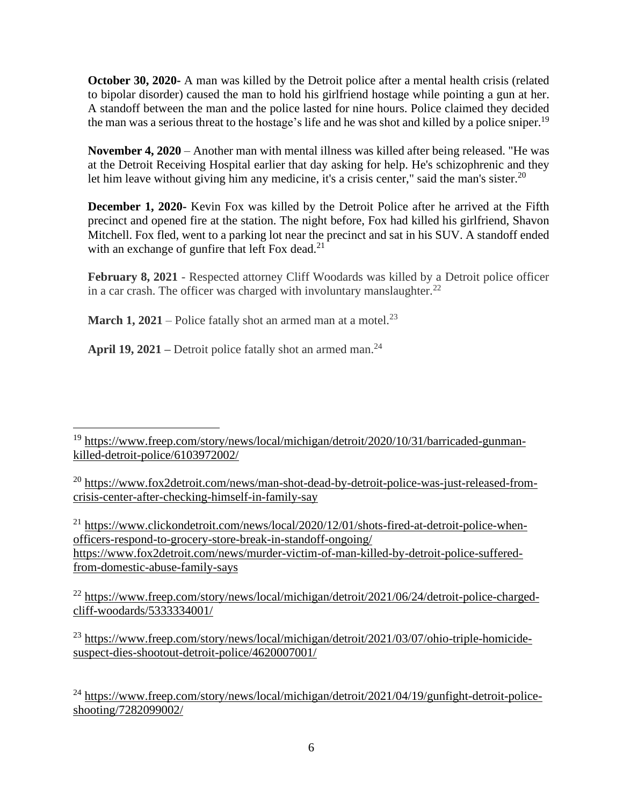**October 30, 2020-** A man was killed by the Detroit police after a mental health crisis (related to bipolar disorder) caused the man to hold his girlfriend hostage while pointing a gun at her. A standoff between the man and the police lasted for nine hours. Police claimed they decided the man was a serious threat to the hostage's life and he was shot and killed by a police sniper.<sup>19</sup>

**November 4, 2020** – Another man with mental illness was killed after being released. "He was at the Detroit Receiving Hospital earlier that day asking for help. He's schizophrenic and they let him leave without giving him any medicine, it's a crisis center," said the man's sister.<sup>20</sup>

**December 1, 2020-** Kevin Fox was killed by the Detroit Police after he arrived at the Fifth precinct and opened fire at the station. The night before, Fox had killed his girlfriend, Shavon Mitchell. Fox fled, went to a parking lot near the precinct and sat in his SUV. A standoff ended with an exchange of gunfire that left Fox dead. $^{21}$ 

**February 8, 2021** - Respected attorney Cliff Woodards was killed by a Detroit police officer in a car crash. The officer was charged with involuntary manslaughter.<sup>22</sup>

**March 1, 2021** – Police fatally shot an armed man at a motel.<sup>23</sup>

**April 19, 2021** – Detroit police fatally shot an armed man.<sup>24</sup>

<sup>21</sup> [https://www.clickondetroit.com/news/local/2020/12/01/shots-fired-at-detroit-police-when](https://urldefense.proofpoint.com/v2/url?u=https-3A__www.clickondetroit.com_news_local_2020_12_01_shots-2Dfired-2Dat-2Ddetroit-2Dpolice-2Dwhen-2Dofficers-2Drespond-2Dto-2Dgrocery-2Dstore-2Dbreak-2Din-2Dstandoff-2Dongoing_&d=DwMFaQ&c=euGZstcaTDllvimEN8b7jXrwqOf-v5A_CdpgnVfiiMM&r=UEAeuxn4vQheXLGANgoKO3OGw1kWeEvDFTp7pQkgJsY&m=fLFiRMuZyYcLON34aqO86wmYBKB5WvOiBlKvDPWHa7Y&s=E0D1TPlREXsIAiTX3ILfQ8ok3L_fnf990qtS3NAm_kw&e=)[officers-respond-to-grocery-store-break-in-standoff-ongoing/](https://urldefense.proofpoint.com/v2/url?u=https-3A__www.clickondetroit.com_news_local_2020_12_01_shots-2Dfired-2Dat-2Ddetroit-2Dpolice-2Dwhen-2Dofficers-2Drespond-2Dto-2Dgrocery-2Dstore-2Dbreak-2Din-2Dstandoff-2Dongoing_&d=DwMFaQ&c=euGZstcaTDllvimEN8b7jXrwqOf-v5A_CdpgnVfiiMM&r=UEAeuxn4vQheXLGANgoKO3OGw1kWeEvDFTp7pQkgJsY&m=fLFiRMuZyYcLON34aqO86wmYBKB5WvOiBlKvDPWHa7Y&s=E0D1TPlREXsIAiTX3ILfQ8ok3L_fnf990qtS3NAm_kw&e=) [https://www.fox2detroit.com/news/murder-victim-of-man-killed-by-detroit-police-suffered](https://urldefense.proofpoint.com/v2/url?u=https-3A__www.fox2detroit.com_news_murder-2Dvictim-2Dof-2Dman-2Dkilled-2Dby-2Ddetroit-2Dpolice-2Dsuffered-2Dfrom-2Ddomestic-2Dabuse-2Dfamily-2Dsays&d=DwMFaQ&c=euGZstcaTDllvimEN8b7jXrwqOf-v5A_CdpgnVfiiMM&r=UEAeuxn4vQheXLGANgoKO3OGw1kWeEvDFTp7pQkgJsY&m=fLFiRMuZyYcLON34aqO86wmYBKB5WvOiBlKvDPWHa7Y&s=2XxUyh2IUozG0v17fRd8yU_H3Y-HfWy-fJji5XpelCU&e=)[from-domestic-abuse-family-says](https://urldefense.proofpoint.com/v2/url?u=https-3A__www.fox2detroit.com_news_murder-2Dvictim-2Dof-2Dman-2Dkilled-2Dby-2Ddetroit-2Dpolice-2Dsuffered-2Dfrom-2Ddomestic-2Dabuse-2Dfamily-2Dsays&d=DwMFaQ&c=euGZstcaTDllvimEN8b7jXrwqOf-v5A_CdpgnVfiiMM&r=UEAeuxn4vQheXLGANgoKO3OGw1kWeEvDFTp7pQkgJsY&m=fLFiRMuZyYcLON34aqO86wmYBKB5WvOiBlKvDPWHa7Y&s=2XxUyh2IUozG0v17fRd8yU_H3Y-HfWy-fJji5XpelCU&e=)

 $^{22}$  [https://www.freep.com/story/news/local/michigan/detroit/2021/06/24/detroit-police-charged](https://www.freep.com/story/news/local/michigan/detroit/2021/06/24/detroit-police-charged-cliff-woodards/5333334001/)[cliff-woodards/5333334001/](https://www.freep.com/story/news/local/michigan/detroit/2021/06/24/detroit-police-charged-cliff-woodards/5333334001/)

<sup>23</sup> [https://www.freep.com/story/news/local/michigan/detroit/2021/03/07/ohio-triple-homicide](https://www.freep.com/story/news/local/michigan/detroit/2021/03/07/ohio-triple-homicide-suspect-dies-shootout-detroit-police/4620007001/)[suspect-dies-shootout-detroit-police/4620007001/](https://www.freep.com/story/news/local/michigan/detroit/2021/03/07/ohio-triple-homicide-suspect-dies-shootout-detroit-police/4620007001/)

 $^{24}$  [https://www.freep.com/story/news/local/michigan/detroit/2021/04/19/gunfight-detroit-police](https://www.freep.com/story/news/local/michigan/detroit/2021/04/19/gunfight-detroit-police-shooting/7282099002/)[shooting/7282099002/](https://www.freep.com/story/news/local/michigan/detroit/2021/04/19/gunfight-detroit-police-shooting/7282099002/)

<sup>&</sup>lt;sup>19</sup> [https://www.freep.com/story/news/local/michigan/detroit/2020/10/31/barricaded-gunman](https://urldefense.proofpoint.com/v2/url?u=https-3A__www.freep.com_story_news_local_michigan_detroit_2020_10_31_barricaded-2Dgunman-2Dkilled-2Ddetroit-2Dpolice_6103972002_&d=DwMFaQ&c=euGZstcaTDllvimEN8b7jXrwqOf-v5A_CdpgnVfiiMM&r=UEAeuxn4vQheXLGANgoKO3OGw1kWeEvDFTp7pQkgJsY&m=fLFiRMuZyYcLON34aqO86wmYBKB5WvOiBlKvDPWHa7Y&s=AfQk5wKm_djsIiVO4CEqhr-1tY78HJQhZ7H0k9U-lq8&e=)[killed-detroit-police/6103972002/](https://urldefense.proofpoint.com/v2/url?u=https-3A__www.freep.com_story_news_local_michigan_detroit_2020_10_31_barricaded-2Dgunman-2Dkilled-2Ddetroit-2Dpolice_6103972002_&d=DwMFaQ&c=euGZstcaTDllvimEN8b7jXrwqOf-v5A_CdpgnVfiiMM&r=UEAeuxn4vQheXLGANgoKO3OGw1kWeEvDFTp7pQkgJsY&m=fLFiRMuZyYcLON34aqO86wmYBKB5WvOiBlKvDPWHa7Y&s=AfQk5wKm_djsIiVO4CEqhr-1tY78HJQhZ7H0k9U-lq8&e=)

<sup>20</sup> [https://www.fox2detroit.com/news/man-shot-dead-by-detroit-police-was-just-released-from](https://www.fox2detroit.com/news/man-shot-dead-by-detroit-police-was-just-released-from-crisis-center-after-checking-himself-in-family-say)[crisis-center-after-checking-himself-in-family-say](https://www.fox2detroit.com/news/man-shot-dead-by-detroit-police-was-just-released-from-crisis-center-after-checking-himself-in-family-say)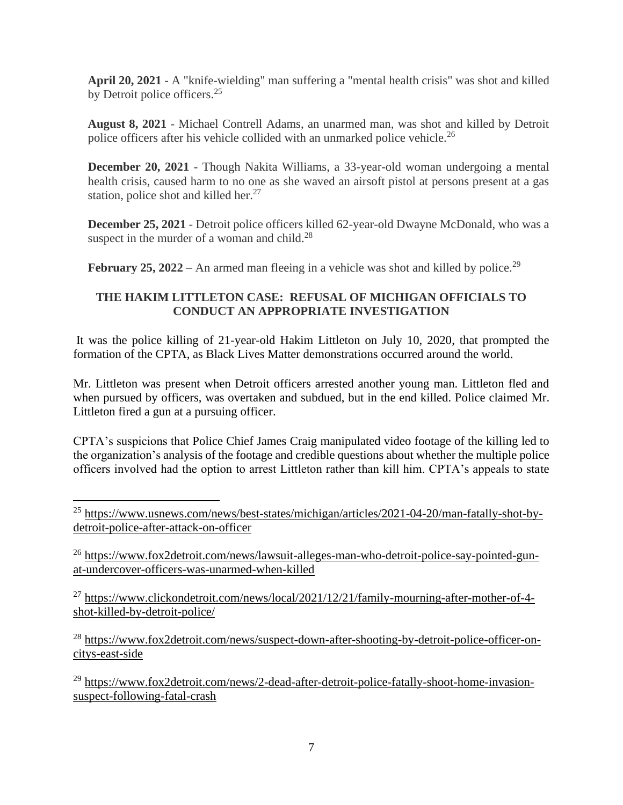**April 20, 2021** - A "knife-wielding" man suffering a "mental health crisis" was shot and killed by Detroit police officers.<sup>25</sup>

**August 8, 2021** - Michael Contrell Adams, an unarmed man, was shot and killed by Detroit police officers after his vehicle collided with an unmarked police vehicle.<sup>26</sup>

**December 20, 2021** - Though Nakita Williams, a 33-year-old woman undergoing a mental health crisis, caused harm to no one as she waved an airsoft pistol at persons present at a gas station, police shot and killed her. $27$ 

**December 25, 2021** - Detroit police officers killed 62-year-old Dwayne McDonald, who was a suspect in the murder of a woman and child. $^{28}$ 

**February 25, 2022** – An armed man fleeing in a vehicle was shot and killed by police.<sup>29</sup>

# **THE HAKIM LITTLETON CASE: REFUSAL OF MICHIGAN OFFICIALS TO CONDUCT AN APPROPRIATE INVESTIGATION**

It was the police killing of 21-year-old Hakim Littleton on July 10, 2020, that prompted the formation of the CPTA, as Black Lives Matter demonstrations occurred around the world.

Mr. Littleton was present when Detroit officers arrested another young man. Littleton fled and when pursued by officers, was overtaken and subdued, but in the end killed. Police claimed Mr. Littleton fired a gun at a pursuing officer.

CPTA's suspicions that Police Chief James Craig manipulated video footage of the killing led to the organization's analysis of the footage and credible questions about whether the multiple police officers involved had the option to arrest Littleton rather than kill him. CPTA's appeals to state

<sup>26</sup> https://www.fox2detroit.com/new<u>s/lawsuit-alleges-man-who-detroit-police-say-pointed-gun-</u> [at-undercover-officers-was-unarmed-when-killed](https://www.fox2detroit.com/news/lawsuit-alleges-man-who-detroit-police-say-pointed-gun-at-undercover-officers-was-unarmed-when-killed)

<sup>27</sup> [https://www.clickondetroit.com/news/local/2021/12/21/family-mourning-after-mother-of-4](https://www.clickondetroit.com/news/local/2021/12/21/family-mourning-after-mother-of-4-shot-killed-by-detroit-police/) [shot-killed-by-detroit-police/](https://www.clickondetroit.com/news/local/2021/12/21/family-mourning-after-mother-of-4-shot-killed-by-detroit-police/)

<sup>28</sup> [https://www.fox2detroit.com/news/suspect-down-after-shooting-by-detroit-police-officer-on](https://www.fox2detroit.com/news/suspect-down-after-shooting-by-detroit-police-officer-on-citys-east-side)[citys-east-side](https://www.fox2detroit.com/news/suspect-down-after-shooting-by-detroit-police-officer-on-citys-east-side)

<sup>29</sup> [https://www.fox2detroit.com/news/2-dead-after-detroit-police-fatally-shoot-home-invasion](https://www.fox2detroit.com/news/2-dead-after-detroit-police-fatally-shoot-home-invasion-suspect-following-fatal-crash)[suspect-following-fatal-crash](https://www.fox2detroit.com/news/2-dead-after-detroit-police-fatally-shoot-home-invasion-suspect-following-fatal-crash)

<sup>&</sup>lt;sup>25</sup> [https://www.usnews.com/news/best-states/michigan/articles/2021-04-20/man-fatally-shot-by](https://www.usnews.com/news/best-states/michigan/articles/2021-04-20/man-fatally-shot-by-detroit-police-after-attack-on-officer)[detroit-police-after-attack-on-officer](https://www.usnews.com/news/best-states/michigan/articles/2021-04-20/man-fatally-shot-by-detroit-police-after-attack-on-officer)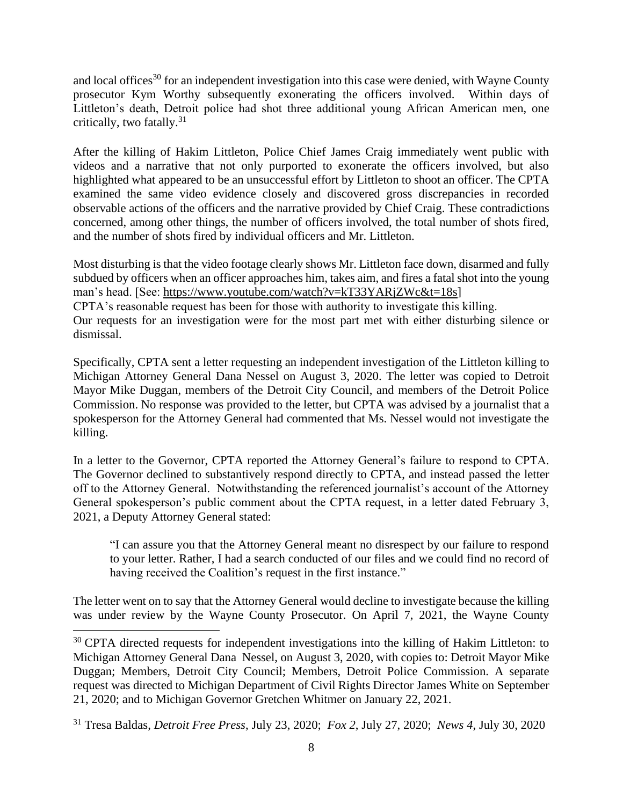and local offices<sup>30</sup> for an independent investigation into this case were denied, with Wayne County prosecutor Kym Worthy subsequently exonerating the officers involved. Within days of Littleton's death, Detroit police had shot three additional young African American men, one critically, two fatally.<sup>31</sup>

After the killing of Hakim Littleton, Police Chief James Craig immediately went public with videos and a narrative that not only purported to exonerate the officers involved, but also highlighted what appeared to be an unsuccessful effort by Littleton to shoot an officer. The CPTA examined the same video evidence closely and discovered gross discrepancies in recorded observable actions of the officers and the narrative provided by Chief Craig. These contradictions concerned, among other things, the number of officers involved, the total number of shots fired, and the number of shots fired by individual officers and Mr. Littleton.

Most disturbing is that the video footage clearly shows Mr. Littleton face down, disarmed and fully subdued by officers when an officer approaches him, takes aim, and fires a fatal shot into the young man's head. [See: [https://www.youtube.com/watch?v=kT33YARjZWc&t=18s\]](https://www.youtube.com/watch?v=kT33YARjZWc&t=18s) CPTA's reasonable request has been for those with authority to investigate this killing.

Our requests for an investigation were for the most part met with either disturbing silence or dismissal.

Specifically, CPTA sent a letter requesting an independent investigation of the Littleton killing to Michigan Attorney General Dana Nessel on August 3, 2020. The letter was copied to Detroit Mayor Mike Duggan, members of the Detroit City Council, and members of the Detroit Police Commission. No response was provided to the letter, but CPTA was advised by a journalist that a spokesperson for the Attorney General had commented that Ms. Nessel would not investigate the killing.

In a letter to the Governor, CPTA reported the Attorney General's failure to respond to CPTA. The Governor declined to substantively respond directly to CPTA, and instead passed the letter off to the Attorney General. Notwithstanding the referenced journalist's account of the Attorney General spokesperson's public comment about the CPTA request, in a letter dated February 3, 2021, a Deputy Attorney General stated:

"I can assure you that the Attorney General meant no disrespect by our failure to respond to your letter. Rather, I had a search conducted of our files and we could find no record of having received the Coalition's request in the first instance."

The letter went on to say that the Attorney General would decline to investigate because the killing was under review by the Wayne County Prosecutor. On April 7, 2021, the Wayne County

<sup>&</sup>lt;sup>30</sup> CPTA directed requests for independent investigations into the killing of Hakim Littleton: to Michigan Attorney General Dana Nessel, on August 3, 2020, with copies to: Detroit Mayor Mike Duggan; Members, Detroit City Council; Members, Detroit Police Commission. A separate request was directed to Michigan Department of Civil Rights Director James White on September 21, 2020; and to Michigan Governor Gretchen Whitmer on January 22, 2021.

<sup>31</sup> Tresa Baldas, *Detroit Free Press*, July 23, 2020; *Fox 2*, July 27, 2020; *News 4*, July 30, 2020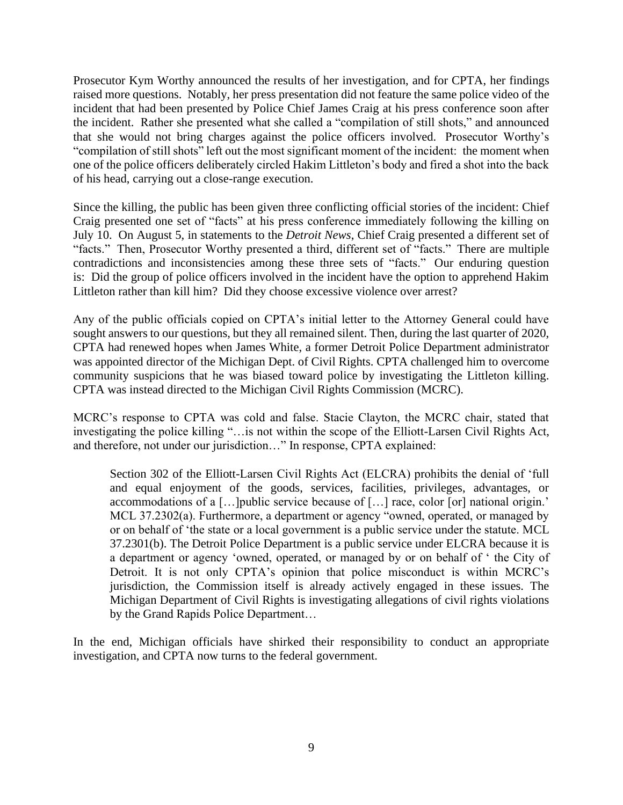Prosecutor Kym Worthy announced the results of her investigation, and for CPTA, her findings raised more questions. Notably, her press presentation did not feature the same police video of the incident that had been presented by Police Chief James Craig at his press conference soon after the incident. Rather she presented what she called a "compilation of still shots," and announced that she would not bring charges against the police officers involved. Prosecutor Worthy's "compilation of still shots" left out the most significant moment of the incident: the moment when one of the police officers deliberately circled Hakim Littleton's body and fired a shot into the back of his head, carrying out a close-range execution.

Since the killing, the public has been given three conflicting official stories of the incident: Chief Craig presented one set of "facts" at his press conference immediately following the killing on July 10. On August 5, in statements to the *Detroit News*, Chief Craig presented a different set of "facts." Then, Prosecutor Worthy presented a third, different set of "facts." There are multiple contradictions and inconsistencies among these three sets of "facts." Our enduring question is: Did the group of police officers involved in the incident have the option to apprehend Hakim Littleton rather than kill him? Did they choose excessive violence over arrest?

Any of the public officials copied on CPTA's initial letter to the Attorney General could have sought answers to our questions, but they all remained silent. Then, during the last quarter of 2020, CPTA had renewed hopes when James White, a former Detroit Police Department administrator was appointed director of the Michigan Dept. of Civil Rights. CPTA challenged him to overcome community suspicions that he was biased toward police by investigating the Littleton killing. CPTA was instead directed to the Michigan Civil Rights Commission (MCRC).

MCRC's response to CPTA was cold and false. Stacie Clayton, the MCRC chair, stated that investigating the police killing "…is not within the scope of the Elliott-Larsen Civil Rights Act, and therefore, not under our jurisdiction…" In response, CPTA explained:

Section 302 of the Elliott-Larsen Civil Rights Act (ELCRA) prohibits the denial of 'full and equal enjoyment of the goods, services, facilities, privileges, advantages, or accommodations of a […]public service because of […] race, color [or] national origin.' MCL 37.2302(a). Furthermore, a department or agency "owned, operated, or managed by or on behalf of 'the state or a local government is a public service under the statute. MCL 37.2301(b). The Detroit Police Department is a public service under ELCRA because it is a department or agency 'owned, operated, or managed by or on behalf of ' the City of Detroit. It is not only CPTA's opinion that police misconduct is within MCRC's jurisdiction, the Commission itself is already actively engaged in these issues. The Michigan Department of Civil Rights is investigating allegations of civil rights violations by the Grand Rapids Police Department…

In the end, Michigan officials have shirked their responsibility to conduct an appropriate investigation, and CPTA now turns to the federal government.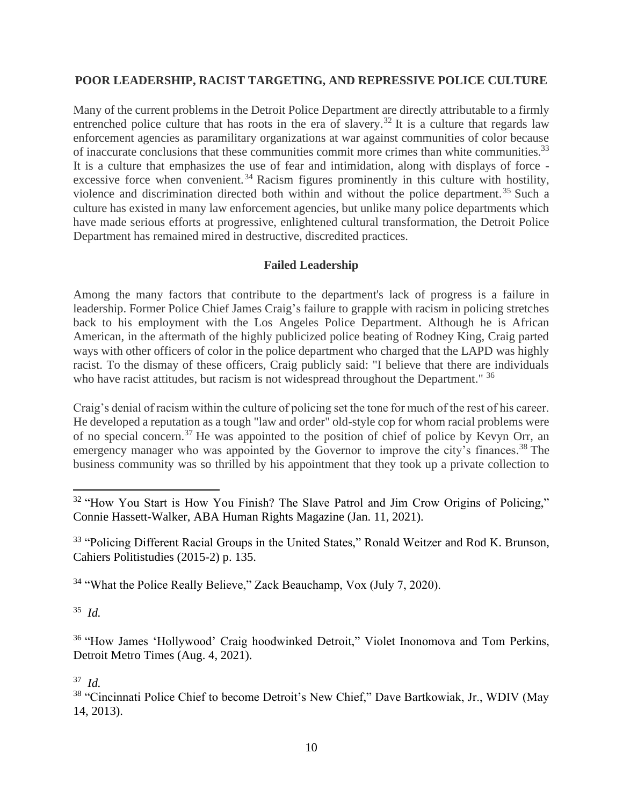#### **POOR LEADERSHIP, RACIST TARGETING, AND REPRESSIVE POLICE CULTURE**

Many of the current problems in the Detroit Police Department are directly attributable to a firmly entrenched police culture that has roots in the era of slavery.<sup>32</sup> It is a culture that regards law enforcement agencies as paramilitary organizations at war against communities of color because of inaccurate conclusions that these communities commit more crimes than white communities.<sup>33</sup> It is a culture that emphasizes the use of fear and intimidation, along with displays of force excessive force when convenient.<sup>34</sup> Racism figures prominently in this culture with hostility, violence and discrimination directed both within and without the police department.<sup>35</sup> Such a culture has existed in many law enforcement agencies, but unlike many police departments which have made serious efforts at progressive, enlightened cultural transformation, the Detroit Police Department has remained mired in destructive, discredited practices.

## **Failed Leadership**

Among the many factors that contribute to the department's lack of progress is a failure in leadership. Former Police Chief James Craig's failure to grapple with racism in policing stretches back to his employment with the Los Angeles Police Department. Although he is African American, in the aftermath of the highly publicized police beating of Rodney King, Craig parted ways with other officers of color in the police department who charged that the LAPD was highly racist. To the dismay of these officers, Craig publicly said: "I believe that there are individuals who have racist attitudes, but racism is not widespread throughout the Department." 36

Craig's denial of racism within the culture of policing set the tone for much of the rest of his career. He developed a reputation as a tough "law and order" old-style cop for whom racial problems were of no special concern.<sup>37</sup> He was appointed to the position of chief of police by Kevyn Orr, an emergency manager who was appointed by the Governor to improve the city's finances.<sup>38</sup> The business community was so thrilled by his appointment that they took up a private collection to

<sup>34</sup> "What the Police Really Believe," Zack Beauchamp, Vox (July 7, 2020).

<sup>35</sup> *Id.*

<sup>36</sup> "How James 'Hollywood' Craig hoodwinked Detroit," Violet Inonomova and Tom Perkins, Detroit Metro Times (Aug. 4, 2021).

37 *Id.*

<sup>&</sup>lt;sup>32</sup> "How You Start is How You Finish? The Slave Patrol and Jim Crow Origins of Policing," Connie Hassett-Walker, ABA Human Rights Magazine (Jan. 11, 2021).

<sup>&</sup>lt;sup>33</sup> "Policing Different Racial Groups in the United States," Ronald Weitzer and Rod K. Brunson, Cahiers Politistudies (2015-2) p. 135.

<sup>&</sup>lt;sup>38</sup> "Cincinnati Police Chief to become Detroit's New Chief," Dave Bartkowiak, Jr., WDIV (May 14, 2013).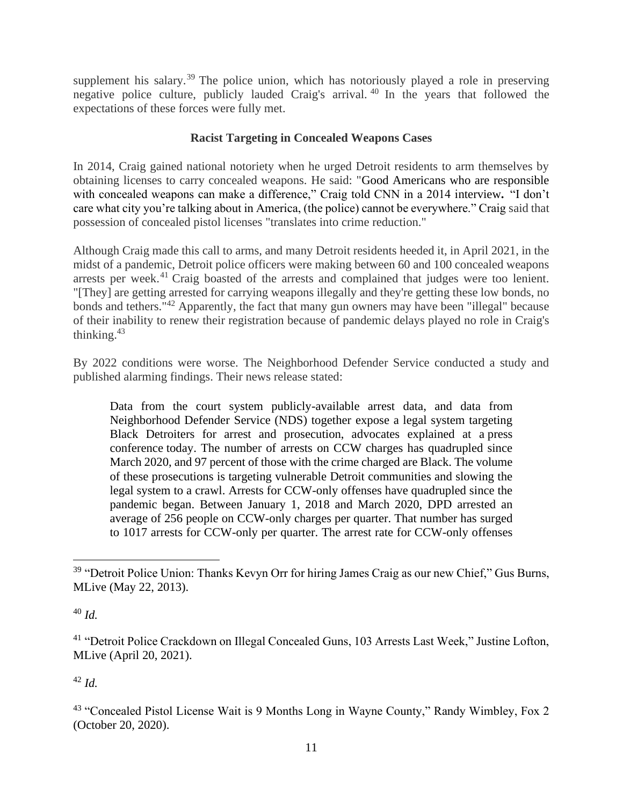supplement his salary.<sup>39</sup> The police union, which has notoriously played a role in preserving negative police culture, publicly lauded Craig's arrival.<sup>40</sup> In the years that followed the expectations of these forces were fully met.

# **Racist Targeting in Concealed Weapons Cases**

In 2014, Craig gained national notoriety when he urged Detroit residents to arm themselves by obtaining licenses to carry concealed weapons. He said: "Good Americans who are responsible with concealed weapons can make a difference," Craig told CNN in a 2014 interview**.** "I don't care what city you're talking about in America, (the police) cannot be everywhere." Craig said that possession of concealed pistol licenses "translates into crime reduction."

Although Craig made this call to arms, and many Detroit residents heeded it, in April 2021, in the midst of a pandemic, Detroit police officers were making between 60 and 100 concealed weapons arrests per week.<sup>41</sup> Craig boasted of the arrests and complained that judges were too lenient. "[They] are getting arrested for carrying weapons illegally and they're getting these low bonds, no bonds and tethers."<sup>42</sup> Apparently, the fact that many gun owners may have been "illegal" because of their inability to renew their registration because of pandemic delays played no role in Craig's thinking. $43$ 

By 2022 conditions were worse. The Neighborhood Defender Service conducted a study and published alarming findings. Their news release stated:

Data from the court system publicly-available arrest data, and data from Neighborhood Defender Service (NDS) together expose a legal system targeting Black Detroiters for arrest and prosecution, advocates explained at a [press](https://t.co/5UXGQDxsyt)  [conference](https://t.co/5UXGQDxsyt) today. The number of arrests on CCW charges has quadrupled since March 2020, and 97 percent of those with the crime charged are Black. The volume of these prosecutions is targeting vulnerable Detroit communities and slowing the legal system to a crawl. Arrests for CCW-only offenses have quadrupled since the pandemic began. Between January 1, 2018 and March 2020, DPD arrested an average of 256 people on CCW-only charges per quarter. That number has surged to 1017 arrests for CCW-only per quarter. The arrest rate for CCW-only offenses

## <sup>40</sup> *Id.*

## <sup>42</sup> *Id.*

<sup>&</sup>lt;sup>39</sup> "Detroit Police Union: Thanks Kevyn Orr for hiring James Craig as our new Chief," Gus Burns, MLive (May 22, 2013).

<sup>&</sup>lt;sup>41</sup> "Detroit Police Crackdown on Illegal Concealed Guns, 103 Arrests Last Week," Justine Lofton, MLive (April 20, 2021).

<sup>&</sup>lt;sup>43</sup> "Concealed Pistol License Wait is 9 Months Long in Wayne County," Randy Wimbley, Fox 2 (October 20, 2020).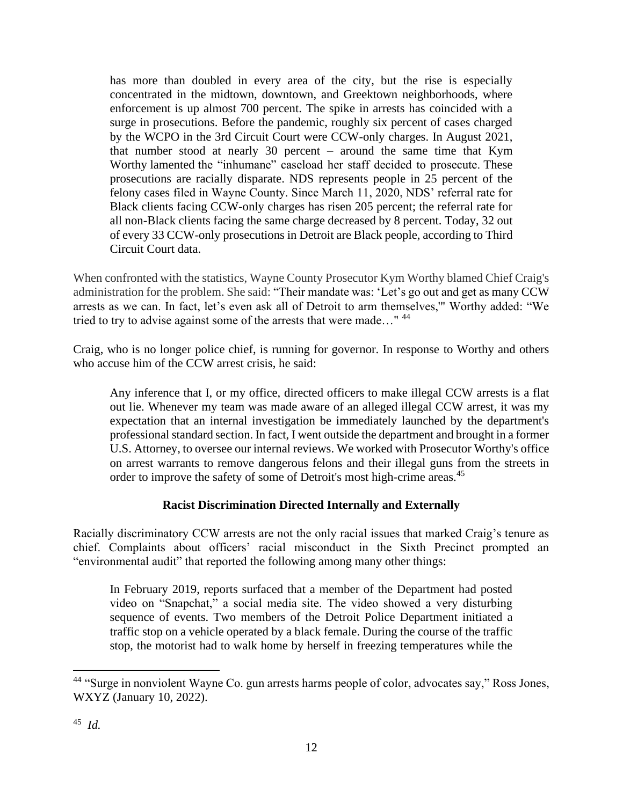has more than doubled in every area of the city, but the rise is especially concentrated in the midtown, downtown, and Greektown neighborhoods, where enforcement is up almost 700 percent. The spike in arrests has coincided with a surge in prosecutions. Before the pandemic, roughly six percent of cases charged by the WCPO in the 3rd Circuit Court were CCW-only charges. In August 2021, that number stood at nearly 30 percent – around the same time that Kym Worthy [lamented](https://www.freep.com/story/news/local/michigan/wayne/2021/09/20/wayne-county-prosecutors-office-kym-worthy/8419000002/) the "inhumane" caseload her staff decided to prosecute. These prosecutions are racially disparate. NDS represents people in 25 percent of the felony cases filed in Wayne County. Since March 11, 2020, NDS' referral rate for Black clients facing CCW-only charges has risen 205 percent; the referral rate for all non-Black clients facing the same charge decreased by 8 percent. Today, 32 out of every 33 CCW-only prosecutions in Detroit are Black people, according to Third Circuit Court data.

When confronted with the statistics, Wayne County Prosecutor Kym Worthy blamed Chief Craig's administration for the problem. She said: "Their mandate was: 'Let's go out and get as many CCW arrests as we can. In fact, let's even ask all of Detroit to arm themselves,'" Worthy added: "We tried to try to advise against some of the arrests that were made..." <sup>44</sup>

Craig, who is no longer police chief, is running for governor. In response to Worthy and others who accuse him of the CCW arrest crisis, he said:

Any inference that I, or my office, directed officers to make illegal CCW arrests is a flat out lie. Whenever my team was made aware of an alleged illegal CCW arrest, it was my expectation that an internal investigation be immediately launched by the department's professional standard section. In fact, I went outside the department and brought in a former U.S. Attorney, to oversee our internal reviews. We worked with Prosecutor Worthy's office on arrest warrants to remove dangerous felons and their illegal guns from the streets in order to improve the safety of some of Detroit's most high-crime areas.<sup>45</sup>

## **Racist Discrimination Directed Internally and Externally**

Racially discriminatory CCW arrests are not the only racial issues that marked Craig's tenure as chief. Complaints about officers' racial misconduct in the Sixth Precinct prompted an "environmental audit" that reported the following among many other things:

In February 2019, reports surfaced that a member of the Department had posted video on "Snapchat," a social media site. The video showed a very disturbing sequence of events. Two members of the Detroit Police Department initiated a traffic stop on a vehicle operated by a black female. During the course of the traffic stop, the motorist had to walk home by herself in freezing temperatures while the

<sup>&</sup>lt;sup>44</sup> "Surge in nonviolent Wayne Co. gun arrests harms people of color, advocates say," Ross Jones, WXYZ (January 10, 2022).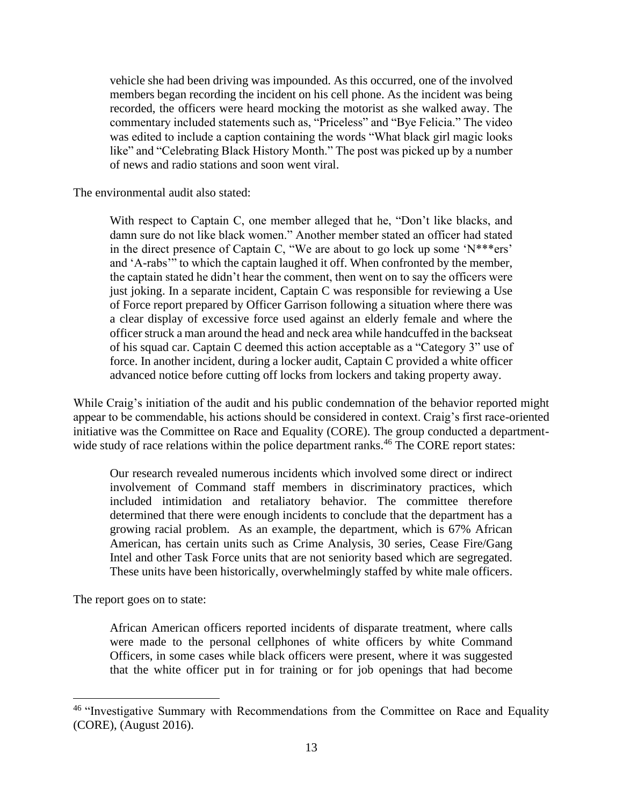vehicle she had been driving was impounded. As this occurred, one of the involved members began recording the incident on his cell phone. As the incident was being recorded, the officers were heard mocking the motorist as she walked away. The commentary included statements such as, "Priceless" and "Bye Felicia." The video was edited to include a caption containing the words "What black girl magic looks like" and "Celebrating Black History Month." The post was picked up by a number of news and radio stations and soon went viral.

The environmental audit also stated:

With respect to Captain C, one member alleged that he, "Don't like blacks, and damn sure do not like black women." Another member stated an officer had stated in the direct presence of Captain C, "We are about to go lock up some 'N\*\*\*ers' and 'A-rabs'" to which the captain laughed it off. When confronted by the member, the captain stated he didn't hear the comment, then went on to say the officers were just joking. In a separate incident, Captain C was responsible for reviewing a Use of Force report prepared by Officer Garrison following a situation where there was a clear display of excessive force used against an elderly female and where the officer struck a man around the head and neck area while handcuffed in the backseat of his squad car. Captain C deemed this action acceptable as a "Category 3" use of force. In another incident, during a locker audit, Captain C provided a white officer advanced notice before cutting off locks from lockers and taking property away.

While Craig's initiation of the audit and his public condemnation of the behavior reported might appear to be commendable, his actions should be considered in context. Craig's first race-oriented initiative was the Committee on Race and Equality (CORE). The group conducted a departmentwide study of race relations within the police department ranks.<sup>46</sup> The CORE report states:

Our research revealed numerous incidents which involved some direct or indirect involvement of Command staff members in discriminatory practices, which included intimidation and retaliatory behavior. The committee therefore determined that there were enough incidents to conclude that the department has a growing racial problem. As an example, the department, which is 67% African American, has certain units such as Crime Analysis, 30 series, Cease Fire/Gang Intel and other Task Force units that are not seniority based which are segregated. These units have been historically, overwhelmingly staffed by white male officers.

The report goes on to state:

African American officers reported incidents of disparate treatment, where calls were made to the personal cellphones of white officers by white Command Officers, in some cases while black officers were present, where it was suggested that the white officer put in for training or for job openings that had become

<sup>&</sup>lt;sup>46</sup> "Investigative Summary with Recommendations from the Committee on Race and Equality (CORE), (August 2016).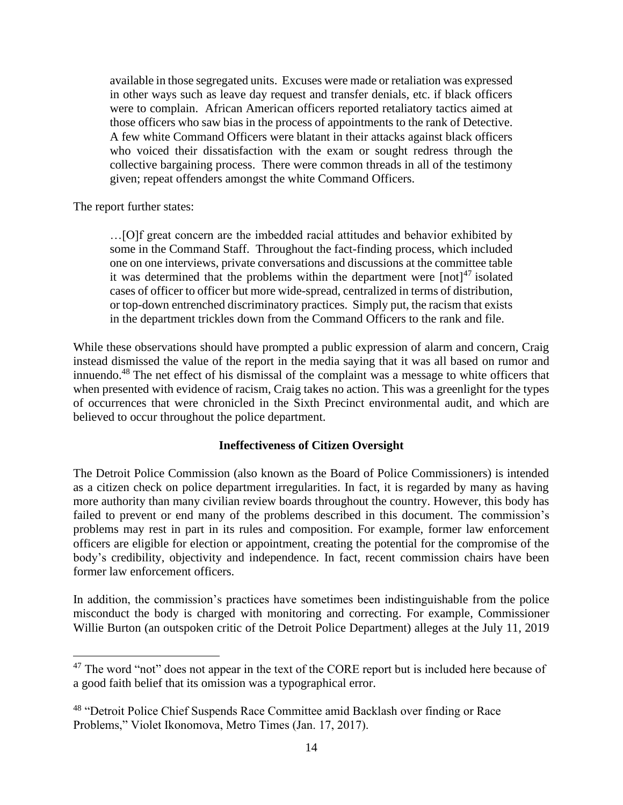available in those segregated units. Excuses were made or retaliation was expressed in other ways such as leave day request and transfer denials, etc. if black officers were to complain. African American officers reported retaliatory tactics aimed at those officers who saw bias in the process of appointments to the rank of Detective. A few white Command Officers were blatant in their attacks against black officers who voiced their dissatisfaction with the exam or sought redress through the collective bargaining process. There were common threads in all of the testimony given; repeat offenders amongst the white Command Officers.

The report further states:

…[O]f great concern are the imbedded racial attitudes and behavior exhibited by some in the Command Staff. Throughout the fact-finding process, which included one on one interviews, private conversations and discussions at the committee table it was determined that the problems within the department were  $\lceil \text{not} \rceil^{47}$  isolated cases of officer to officer but more wide-spread, centralized in terms of distribution, or top-down entrenched discriminatory practices. Simply put, the racism that exists in the department trickles down from the Command Officers to the rank and file.

While these observations should have prompted a public expression of alarm and concern, Craig instead dismissed the value of the report in the media saying that it was all based on rumor and innuendo.<sup>48</sup> The net effect of his dismissal of the complaint was a message to white officers that when presented with evidence of racism, Craig takes no action. This was a greenlight for the types of occurrences that were chronicled in the Sixth Precinct environmental audit, and which are believed to occur throughout the police department.

#### **Ineffectiveness of Citizen Oversight**

The Detroit Police Commission (also known as the Board of Police Commissioners) is intended as a citizen check on police department irregularities. In fact, it is regarded by many as having more authority than many civilian review boards throughout the country. However, this body has failed to prevent or end many of the problems described in this document. The commission's problems may rest in part in its rules and composition. For example, former law enforcement officers are eligible for election or appointment, creating the potential for the compromise of the body's credibility, objectivity and independence. In fact, recent commission chairs have been former law enforcement officers.

In addition, the commission's practices have sometimes been indistinguishable from the police misconduct the body is charged with monitoring and correcting. For example, Commissioner Willie Burton (an outspoken critic of the Detroit Police Department) alleges at the July 11, 2019

<sup>&</sup>lt;sup>47</sup> The word "not" does not appear in the text of the CORE report but is included here because of a good faith belief that its omission was a typographical error.

<sup>&</sup>lt;sup>48</sup> "Detroit Police Chief Suspends Race Committee amid Backlash over finding or Race Problems," Violet Ikonomova, Metro Times (Jan. 17, 2017).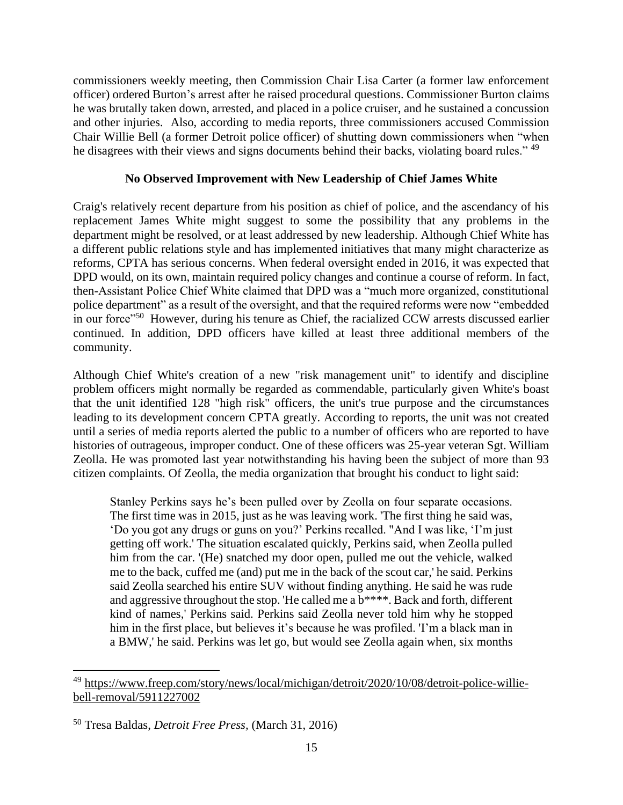commissioners weekly meeting, then Commission Chair Lisa Carter (a former law enforcement officer) ordered Burton's arrest after he raised procedural questions. Commissioner Burton claims he was brutally taken down, arrested, and placed in a police cruiser, and he sustained a concussion and other injuries. Also, according to media reports, three commissioners accused Commission Chair Willie Bell (a former Detroit police officer) of shutting down commissioners when "when he disagrees with their views and signs documents behind their backs, violating board rules." <sup>49</sup>

#### **No Observed Improvement with New Leadership of Chief James White**

Craig's relatively recent departure from his position as chief of police, and the ascendancy of his replacement James White might suggest to some the possibility that any problems in the department might be resolved, or at least addressed by new leadership. Although Chief White has a different public relations style and has implemented initiatives that many might characterize as reforms, CPTA has serious concerns. When federal oversight ended in 2016, it was expected that DPD would, on its own, maintain required policy changes and continue a course of reform. In fact, then-Assistant Police Chief White claimed that DPD was a "much more organized, constitutional police department" as a result of the oversight, and that the required reforms were now "embedded in our force"<sup>50</sup> However, during his tenure as Chief, the racialized CCW arrests discussed earlier continued. In addition, DPD officers have killed at least three additional members of the community.

Although Chief White's creation of a new "risk management unit" to identify and discipline problem officers might normally be regarded as commendable, particularly given White's boast that the unit identified 128 "high risk" officers, the unit's true purpose and the circumstances leading to its development concern CPTA greatly. According to reports, the unit was not created until a series of media reports alerted the public to a number of officers who are reported to have histories of outrageous, improper conduct. One of these officers was 25-year veteran Sgt. William Zeolla. He was promoted last year notwithstanding his having been the subject of more than 93 citizen complaints. Of Zeolla, the media organization that brought his conduct to light said:

Stanley Perkins says he's been pulled over by Zeolla on four separate occasions. The first time was in 2015, just as he was leaving work. 'The first thing he said was, 'Do you got any drugs or guns on you?' Perkins recalled. "And I was like, 'I'm just getting off work.' The situation escalated quickly, Perkins said, when Zeolla pulled him from the car. '(He) snatched my door open, pulled me out the vehicle, walked me to the back, cuffed me (and) put me in the back of the scout car,' he said. Perkins said Zeolla searched his entire SUV without finding anything. He said he was rude and aggressive throughout the stop. 'He called me a b\*\*\*\*. Back and forth, different kind of names,' Perkins said. Perkins said Zeolla never told him why he stopped him in the first place, but believes it's because he was profiled. 'I'm a black man in a BMW,' he said. Perkins was let go, but would see Zeolla again when, six months

<sup>&</sup>lt;sup>49</sup> [https://www.freep.com/story/news/local/michigan/detroit/2020/10/08/detroit-police-willie](https://www.freep.com/story/news/local/michigan/detroit/2020/10/08/detroit-police-willie-bell-removal/5911227002)[bell-removal/5911227002](https://www.freep.com/story/news/local/michigan/detroit/2020/10/08/detroit-police-willie-bell-removal/5911227002)

<sup>50</sup> Tresa Baldas, *Detroit Free Press,* (March 31, 2016)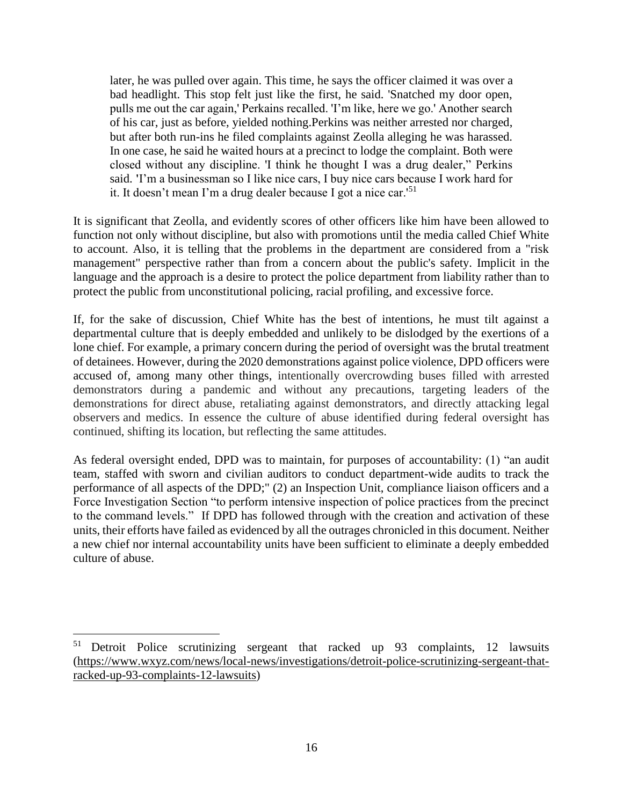later, he was pulled over again. This time, he says the officer claimed it was over a bad headlight. This stop felt just like the first, he said. 'Snatched my door open, pulls me out the car again,' Perkains recalled. 'I'm like, here we go.' Another search of his car, just as before, yielded nothing.Perkins was neither arrested nor charged, but after both run-ins he filed complaints against Zeolla alleging he was harassed. In one case, he said he waited hours at a precinct to lodge the complaint. Both were closed without any discipline. 'I think he thought I was a drug dealer," Perkins said. **'**I'm a businessman so I like nice cars, I buy nice cars because I work hard for it. It doesn't mean I'm a drug dealer because I got a nice car.'<sup>51</sup>

It is significant that Zeolla, and evidently scores of other officers like him have been allowed to function not only without discipline, but also with promotions until the media called Chief White to account. Also, it is telling that the problems in the department are considered from a "risk management" perspective rather than from a concern about the public's safety. Implicit in the language and the approach is a desire to protect the police department from liability rather than to protect the public from unconstitutional policing, racial profiling, and excessive force.

If, for the sake of discussion, Chief White has the best of intentions, he must tilt against a departmental culture that is deeply embedded and unlikely to be dislodged by the exertions of a lone chief. For example, a primary concern during the period of oversight was the brutal treatment of detainees. However, during the 2020 demonstrations against police violence, DPD officers were accused of, among many other things, intentionally overcrowding buses filled with arrested demonstrators during a pandemic and without any precautions, targeting leaders of the demonstrations for direct abuse, retaliating against demonstrators, and directly attacking legal observers and medics. In essence the culture of abuse identified during federal oversight has continued, shifting its location, but reflecting the same attitudes.

As federal oversight ended, DPD was to maintain, for purposes of accountability: (1) "an audit team, staffed with sworn and civilian auditors to conduct department-wide audits to track the performance of all aspects of the DPD;" (2) an Inspection Unit, compliance liaison officers and a Force Investigation Section "to perform intensive inspection of police practices from the precinct to the command levels." If DPD has followed through with the creation and activation of these units, their efforts have failed as evidenced by all the outrages chronicled in this document. Neither a new chief nor internal accountability units have been sufficient to eliminate a deeply embedded culture of abuse.

<sup>51</sup> Detroit Police scrutinizing sergeant that racked up 93 complaints, 12 lawsuits [\(https://www.wxyz.com/news/local-news/investigations/detroit-police-scrutinizing-sergeant-that](https://www.wxyz.com/news/local-news/investigations/detroit-police-scrutinizing-sergeant-that-racked-up-93-complaints-12-lawsuits)[racked-up-93-complaints-12-lawsuits\)](https://www.wxyz.com/news/local-news/investigations/detroit-police-scrutinizing-sergeant-that-racked-up-93-complaints-12-lawsuits)